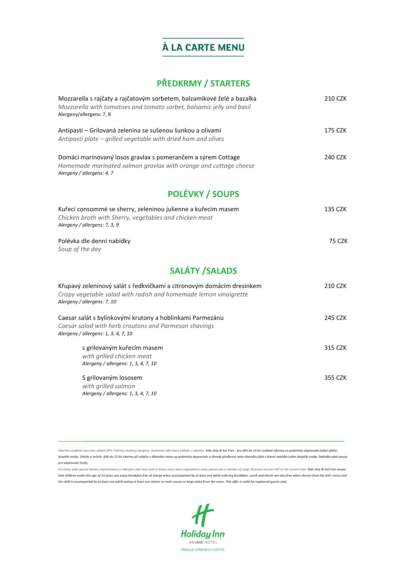#### **PŘEDKRMY / STARTERS**

| Mozzarella s rajčaty a rajčatovým sorbetem, balzamikové želé a bazalka<br>Mozzarella with tomatoes and tomato sorbet, balsamic jelly and basil<br>Alergeny/allergens: 7, 8 | 210 CZK       |
|----------------------------------------------------------------------------------------------------------------------------------------------------------------------------|---------------|
| Antipasti - Grilovaná zelenina se sušenou šunkou a olivami<br>Antipasti plate - grilled vegetable with dried ham and olives                                                | 175 CZK       |
| Domácí marinovaný losos gravlax s pomerančem a sýrem Cottage<br>Homemade marinated salmon gravlax with orange and cottage cheese<br>Alergeny / allergens: 4, 7             | 240 CZK       |
| <b>POLÉVKY / SOUPS</b>                                                                                                                                                     |               |
| Kuřecí consommé se sherry, zeleninou julienne a kuřecím masem<br>Chicken broth with Sherry, vegetables and chicken meat<br>Alergeny / allergens: 7, 3, 9                   | 135 CZK       |
| Polévka dle denní nabídky<br>Soup of the day                                                                                                                               | <b>75 CZK</b> |
| <b>SALÁTY / SALADS</b>                                                                                                                                                     |               |
| Křupavý zeleninový salát s ředkvičkami a citronovým domácím dresinkem<br>Crispy vegetable salad with radish and homemade lemon vinaigrette<br>Alergeny / allergens: 7, 10  | 210 CZK       |
| Caesar salát s bylinkovými krutony a hoblinkami Parmezánu<br>Caesar salad with herb croutons and Parmesan shavings<br>Alergeny / allergens: 1, 3, 4, 7, 10                 | 245 CZK       |
| s grilovaným kuřecím masem<br>with grilled chicken meat<br>Alergeny / allergens: 1, 3, 4, 7, 10                                                                            | 315 CZK       |
| S grilovaným lososem<br>with grilled salmon<br>Alergeny / allergens: 1, 3, 4, 7, 10                                                                                        | 355 CZK       |

*Všechny uvedené ceny jsou včetně DPH. Pokrmy obsahují alergeny. Konkrétní informace žádejte u obsluhy. Kids Stay & Eat Free - pro děti do 13 let snídaně zdarma za podmínky doprovodu jedné platící dospělé osoby. Obědy a večeře: dítě do 13 let zdarma při výběru z dětského menu za podmínky doprovodu a úhrady předkrmu nebo hlavního jídla z hlavní nabídky jedné dospělé osoby. Nabídka platí pouze* 

*pro ubytované hosty.*

*For those with special dietary requirements or allergies who may wish to know more about ingredients used, please ask a member of staff. All prices include VAT at the current rate. Kids Stay & Eat Free means that children under the age of 13 years can enjoy breakfast free of charge when accompanied by at least one adult ordering breakfast. Lunch and dinner are also free when chosen from the kid's menu and the child is accompanied by at least one adult eating at least one starter or main course or large plate from the menu. This offer is valid for registered guests only.*

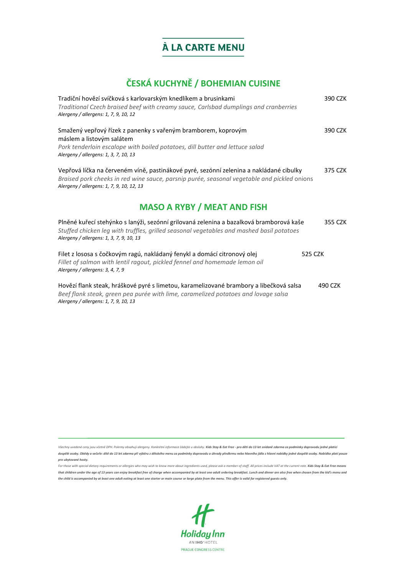# **ČESKÁ KUCHYNĚ / BOHEMIAN CUISINE**

| Tradiční hovězí svíčková s karlovarským knedlíkem a brusinkami<br>Traditional Czech braised beef with creamy sauce, Carlsbad dumplings and cranberries<br>Alergeny / allergens: 1, 7, 9, 10, 12                                    | 390 CZK |
|------------------------------------------------------------------------------------------------------------------------------------------------------------------------------------------------------------------------------------|---------|
| Smažený vepřový řízek z panenky s vařeným bramborem, koprovým<br>máslem a listovým salátem<br>Pork tenderloin escalope with boiled potatoes, dill butter and lettuce salad<br>Alergeny / allergens: 1, 3, 7, 10, 13                | 390 CZK |
| Vepřová líčka na červeném víně, pastinákové pyré, sezónní zelenina a nakládané cibulky<br>Braised pork cheeks in red wine sauce, parsnip purée, seasonal vegetable and pickled onions<br>Alergeny / allergens: 1, 7, 9, 10, 12, 13 | 375 CZK |
| <b>MASO A RYBY / MEAT AND FISH</b>                                                                                                                                                                                                 |         |
| Plněné kuřecí stehýnko s lanýži, sezónní grilovaná zelenina a bazalková bramborová kaše<br>Stuffed chicken leg with truffles, grilled seasonal vegetables and mashed basil potatoes<br>Alergeny / allergens: 1, 3, 7, 9, 10, 13    | 355 CZK |
| Filet z lososa s čočkovým ragú, nakládaný fenykl a domácí citronový olej<br>Fillet of salmon with lentil ragout, pickled fennel and homemade lemon oil<br>Alergeny / allergens: 3, 4, 7, 9                                         | 525 CZK |

Hovězí flank steak, hráškové pyré s limetou, karamelizované brambory a libečková salsa 490 CZK *Beef flank steak, green pea purée with lime, caramelized potatoes and lovage salsa Alergeny / allergens: 1, 7, 9, 10, 13*

*Všechny uvedené ceny jsou včetně DPH. Pokrmy obsahují alergeny. Konkrétní informace žádejte u obsluhy. Kids Stay & Eat Free - pro děti do 13 let snídaně zdarma za podmínky doprovodu jedné platící dospělé osoby. Obědy a večeře: dítě do 13 let zdarma při výběru z dětského menu za podmínky doprovodu a úhrady předkrmu nebo hlavního jídla z hlavní nabídky jedné dospělé osoby. Nabídka platí pouze pro ubytované hosty.*

*For those with special dietary requirements or allergies who may wish to know more about ingredients used, please ask a member of staff. All prices include VAT at the current rate. Kids Stay & Eat Free means that children under the age of 13 years can enjoy breakfast free of charge when accompanied by at least one adult ordering breakfast. Lunch and dinner are also free when chosen from the kid's menu and the child is accompanied by at least one adult eating at least one starter or main course or large plate from the menu. This offer is valid for registered guests only.*

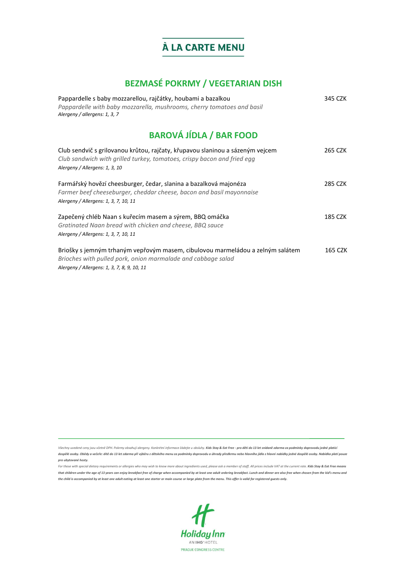# **BEZMASÉ POKRMY / VEGETARIAN DISH**

| Pappardelle s baby mozzarellou, rajčátky, houbami a bazalkou<br>Pappardelle with baby mozzarella, mushrooms, cherry tomatoes and basil<br>Alergeny / allergens: 1, 3, 7                       | 345 CZK |
|-----------------------------------------------------------------------------------------------------------------------------------------------------------------------------------------------|---------|
| <b>BAROVÁ JÍDLA / BAR FOOD</b>                                                                                                                                                                |         |
| Club sendvič s grilovanou krůtou, rajčaty, křupavou slaninou a sázeným vejcem<br>Club sandwich with grilled turkey, tomatoes, crispy bacon and fried egg<br>Alergeny / Allergens: 1, 3, 10    | 265 CZK |
| Farmářský hovězí cheesburger, čedar, slanina a bazalková majonéza<br>Farmer beef cheeseburger, cheddar cheese, bacon and basil mayonnaise<br>Alergeny / Allergens: 1, 3, 7, 10, 11            | 285 CZK |
| Zapečený chléb Naan s kuřecím masem a sýrem, BBQ omáčka<br>Gratinated Naan bread with chicken and cheese, BBQ sauce<br>Alergeny / Allergens: 1, 3, 7, 10, 11                                  | 185 CZK |
| Briošky s jemným trhaným vepřovým masem, cibulovou marmeládou a zelným salátem<br>Brioches with pulled pork, onion marmalade and cabbage salad<br>Alergeny / Allergens: 1, 3, 7, 8, 9, 10, 11 | 165 CZK |

Všechny uvedené ceny jsou včetně DPH. Pokrmy obsahují alergeny. Konkrétní informace žádejte u obsluhy. Kids Stay & Eat Free - pro děti do 13 let snídaně zdarma za podmínky doprovodu jedné platící *dospělé osoby. Obědy a večeře: dítě do 13 let zdarma při výběru z dětského menu za podmínky doprovodu a úhrady předkrmu nebo hlavního jídla z hlavní nabídky jedné dospělé osoby. Nabídka platí pouze pro ubytované hosty.*

For those with special dietary requirements or allergies who may wish to know more about ingredients used, please ask a member of staff. All prices include VAT at the current rate. **Kids Stay & Eat Free means** that children under the age of 13 years can enjoy breakfast free of charge when accompanied by at least one adult ordering breakfast. Lunch and dinner are also free when chosen from the kid's menu and *the child is accompanied by at least one adult eating at least one starter or main course or large plate from the menu. This offer is valid for registered guests only.*